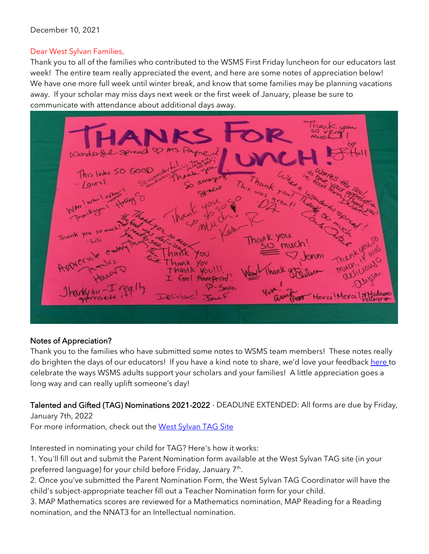### December 10, 2021

## Dear West Sylvan Families,

Thank you to all of the families who contributed to the WSMS First Friday luncheon for our educators last week! The entire team really appreciated the event, and here are some notes of appreciation below! We have one more full week until winter break, and know that some families may be planning vacations away. If your scholar may miss days next week or the first week of January, please be sure to communicate with attendance about additional days away.



## Notes of Appreciation?

Thank you to the families who have submitted some notes to WSMS team members! These notes really do brighten the days of our educators! If you have a kind note to share, we'd love your feedback [here t](https://forms.gle/3TsJKYDfcfbLhiKu7)o celebrate the ways WSMS adults support your scholars and your families! A little appreciation goes a long way and can really uplift someone's day!

Talented and Gifted (TAG) Nominations 2021-2022 - DEADLINE EXTENDED: All forms are due by Friday, January 7th, 2022

For more information, check out the [West Sylvan TAG Site](https://sites.google.com/pps.net/west-sylvan-tag/)

Interested in nominating your child for TAG? Here's how it works:

1. You'll fill out and submit the Parent Nomination form available at the West Sylvan TAG site (in your preferred language) for your child before Friday, January 7<sup>th</sup>.

2. Once you've submitted the Parent Nomination Form, the West Sylvan TAG Coordinator will have the child's subject-appropriate teacher fill out a Teacher Nomination form for your child.

3. MAP Mathematics scores are reviewed for a Mathematics nomination, MAP Reading for a Reading nomination, and the NNAT3 for an Intellectual nomination.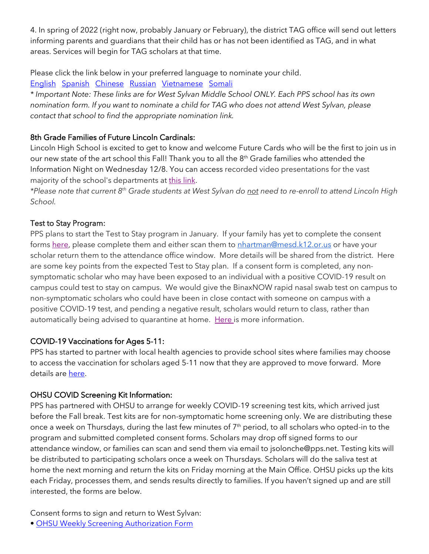4. In spring of 2022 (right now, probably January or February), the district TAG office will send out letters informing parents and guardians that their child has or has not been identified as TAG, and in what areas. Services will begin for TAG scholars at that time.

Please click the link below in your preferred language to nominate your child.

[English](https://forms.gle/oKdyah1MXX1eN8WB6) [Spanish](https://forms.gle/b6VJZP69C2gqsgN3A) [Chinese](https://forms.gle/xd5drKJcwbqSYQXAA) [Russian](https://forms.gle/LmChwsdKZ1svWoB76) [Vietnamese](https://forms.gle/2sEfWP7EReDPZzRV7) [Somali](https://forms.gle/F4QvUYHYnHJEBtNMA)

*\* Important Note: These links are for West Sylvan Middle School ONLY. Each PPS school has its own nomination form. If you want to nominate a child for TAG who does not attend West Sylvan, please contact that school to find the appropriate nomination link.*

# 8th Grade Families of Future Lincoln Cardinals:

Lincoln High School is excited to get to know and welcome Future Cards who will be the first to join us in our new state of the art school this Fall! Thank you to all the 8<sup>th</sup> Grade families who attended the Information Night on Wednesday 12/8. You can access recorded video presentations for the vast majority of the school's departments at [this link.](https://docs.google.com/document/d/1akss3Eusq9MlyP-PvFwRyIQLiNIJLW5cydpmZ9ksGAs/edit?usp=sharing)

*\*Please note that current 8th Grade students at West Sylvan do not need to re-enroll to attend Lincoln High School.*

# Test to Stay Program:

PPS plans to start the Test to Stay program in January. If your family has yet to complete the consent forms [here,](https://sharedsystems.dhsoha.state.or.us/DHSForms/Served/le3560e.pdf) please complete them and either scan them to [nhartman@mesd.k12.or.us](mailto:nhartman@mesd.k12.or.us) or have your scholar return them to the attendance office window. More details will be shared from the district. Here are some key points from the expected Test to Stay plan. If a consent form is completed, any nonsymptomatic scholar who may have been exposed to an individual with a positive COVID-19 result on campus could test to stay on campus. We would give the BinaxNOW rapid nasal swab test on campus to non-symptomatic scholars who could have been in close contact with someone on campus with a positive COVID-19 test, and pending a negative result, scholars would return to class, rather than automatically being advised to quarantine at home. [Here](https://docs.google.com/document/d/1RiifxD8ZyotgtTy4q0zU6VYEbklFNPNaDJapztiE6EI/edit?usp=sharing) is more information.

## COVID-19 Vaccinations for Ages 5-11:

PPS has started to partner with local health agencies to provide school sites where families may choose to access the vaccination for scholars aged 5-11 now that they are approved to move forward. More details are [here.](https://www.pps.net/site/default.aspx?PageType=3&DomainID=4&ModuleInstanceID=1492&PageModuleInstanceID=1594&ViewID=ad4d6d9d-7046-48e7-a548-a6a23a68d076&RenderLoc=0&FlexDataID=173571&PageID=1)

# OHSU COVID Screening Kit Information:

PPS has partnered with OHSU to arrange for weekly COVID-19 screening test kits, which arrived just before the Fall break. Test kits are for non-symptomatic home screening only. We are distributing these once a week on Thursdays, during the last few minutes of 7<sup>th</sup> period, to all scholars who opted-in to the program and submitted completed consent forms. Scholars may drop off signed forms to our attendance window, or families can scan and send them via email to jsolonche@pps.net. Testing kits will be distributed to participating scholars once a week on Thursdays. Scholars will do the saliva test at home the next morning and return the kits on Friday morning at the Main Office. OHSU picks up the kits each Friday, processes them, and sends results directly to families. If you haven't signed up and are still interested, the forms are below.

Consent forms to sign and return to West Sylvan:

• [OHSU Weekly Screening Authorization Form](https://drive.google.com/file/d/1WKfLwknOXIYGfjiVTURKB7wvlQW8DAhR/view?usp=sharing)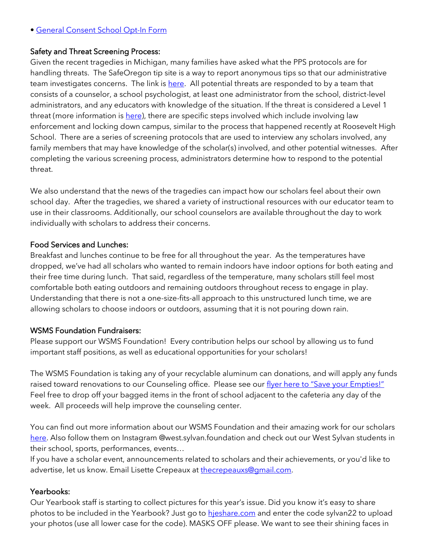#### • [General Consent School Opt-In Form](https://drive.google.com/file/d/1JELJW3M6_gp013Dp_Z7QDpvKmsqC5G-S/view?usp=sharing)

### Safety and Threat Screening Process:

Given the recent tragedies in Michigan, many families have asked what the PPS protocols are for handling threats. The SafeOregon tip site is a way to report anonymous tips so that our administrative team investigates concerns. The link is [here.](https://www.safeoregon.com/) All potential threats are responded to by a team that consists of a counselor, a school psychologist, at least one administrator from the school, district-level administrators, and any educators with knowledge of the situation. If the threat is considered a Level 1 threat (more information is [here\)](https://www.pps.net/Page/17637), there are specific steps involved which include involving law enforcement and locking down campus, similar to the process that happened recently at Roosevelt High School. There are a series of screening protocols that are used to interview any scholars involved, any family members that may have knowledge of the scholar(s) involved, and other potential witnesses. After completing the various screening process, administrators determine how to respond to the potential threat.

We also understand that the news of the tragedies can impact how our scholars feel about their own school day. After the tragedies, we shared a variety of instructional resources with our educator team to use in their classrooms. Additionally, our school counselors are available throughout the day to work individually with scholars to address their concerns.

#### Food Services and Lunches:

Breakfast and lunches continue to be free for all throughout the year. As the temperatures have dropped, we've had all scholars who wanted to remain indoors have indoor options for both eating and their free time during lunch. That said, regardless of the temperature, many scholars still feel most comfortable both eating outdoors and remaining outdoors throughout recess to engage in play. Understanding that there is not a one-size-fits-all approach to this unstructured lunch time, we are allowing scholars to choose indoors or outdoors, assuming that it is not pouring down rain.

### WSMS Foundation Fundraisers:

Please support our WSMS Foundation! Every contribution helps our school by allowing us to fund important staff positions, as well as educational opportunities for your scholars!

The WSMS Foundation is taking any of your recyclable aluminum can donations, and will apply any funds raised toward renovations to our Counseling office. Please see our [flyer here to "Save your Empties!"](https://drive.google.com/file/d/1QXOTJmEblkxG_rK04tEK5aEuwcpa-NT4/view?usp=sharing) Feel free to drop off your bagged items in the front of school adjacent to the cafeteria any day of the week. All proceeds will help improve the counseling center.

You can find out more information about our WSMS Foundation and their amazing work for our scholars [here.](https://www.westsylvanfoundation.com/) Also follow them on Instagram @west.sylvan.foundation and check out our West Sylvan students in their school, sports, performances, events…

If you have a scholar event, announcements related to scholars and their achievements, or you'd like to advertise, let us know. Email Lisette Crepeaux at [thecrepeauxs@gmail.com.](mailto:thecrepeauxs@gmail.com)

### Yearbooks:

Our Yearbook staff is starting to collect pictures for this year's issue. Did you know it's easy to share photos to be included in the Yearbook? Just go to hieshare.com and enter the code sylvan22 to upload your photos (use all lower case for the code). MASKS OFF please. We want to see their shining faces in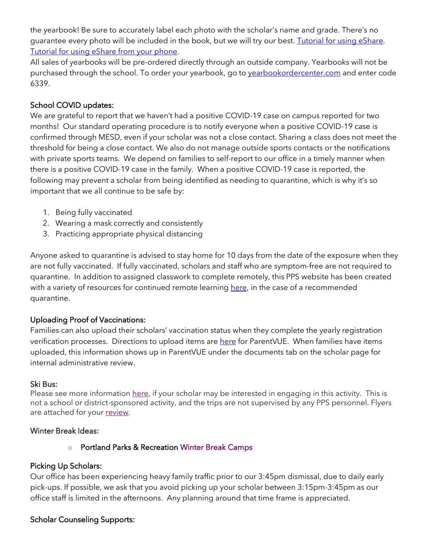the yearbook! Be sure to accurately label each photo with the scholar's name and grade. There's no guarantee every photo will be included in the book, but we will try our best. [Tutorial for using eShare.](https://herffjones.wistia.com/medias/h1e7m2ythz) [Tutorial for using eShare from your phone.](https://herffjones.wistia.com/medias/62ap3qbbp3)

All sales of yearbooks will be pre-ordered directly through an outside company. Yearbooks will not be purchased through the school. To order your yearbook, go to vearbookordercenter.com and enter code 6339.

## School COVID updates:

We are grateful to report that we haven't had a positive COVID-19 case on campus reported for two months! Our standard operating procedure is to notify everyone when a positive COVID-19 case is confirmed through MESD, even if your scholar was not a close contact. Sharing a class does not meet the threshold for being a close contact. We also do not manage outside sports contacts or the notifications with private sports teams. We depend on families to self-report to our office in a timely manner when there is a positive COVID-19 case in the family. When a positive COVID-19 case is reported, the following may prevent a scholar from being identified as needing to quarantine, which is why it's so important that we all continue to be safe by:

- 1. Being fully vaccinated
- 2. Wearing a mask correctly and consistently
- 3. Practicing appropriate physical distancing

Anyone asked to quarantine is advised to stay home for 10 days from the date of the exposure when they are not fully vaccinated. If fully vaccinated, scholars and staff who are symptom-free are not required to quarantine. In addition to assigned classwork to complete remotely, this PPS website has been created with a variety of resources for continued remote learning [here,](https://sites.google.com/pps.net/ppsquarantinelessons/home?authuser=0) in the case of a recommended quarantine.

### Uploading Proof of Vaccinations:

Families can also upload their scholars' vaccination status when they complete the yearly registration verification processes. Directions to upload items ar[e here](https://docs.google.com/document/d/1AxHhVVEjAqJxV1Vuh9PnfwkZHcp-Tde_x6iFOOEy58Y/edit) for ParentVUE. When families have items uploaded, this information shows up in ParentVUE under the documents tab on the scholar page for internal administrative review.

### Ski Bus:

Please see more information [here,](https://drive.google.com/file/d/1ix1Sh53HNhRhw4TY-eUKEotfC4dzRsNX/view?usp=sharing) if your scholar may be interested in engaging in this activity. This is not a school or district-sponsored activity, and the trips are not supervised by any PPS personnel. Flyers are attached for your [review.](https://drive.google.com/file/d/1FRriRObLFlZVb-TdYi3_QNwW4D_vQv79/view?usp=sharing)

#### Winter Break Ideas:

o Portland Parks & Recreatio[n Winter Break Camps](https://www.pps.net/cms/lib/OR01913224/Centricity/Domain/50/PPR_WinterBreakCamps_Flyer_8.5x11.pdf)

### Picking Up Scholars:

Our office has been experiencing heavy family traffic prior to our 3:45pm dismissal, due to daily early pick-ups. If possible, we ask that you avoid picking up your scholar between 3:15pm-3:45pm as our office staff is limited in the afternoons. Any planning around that time frame is appreciated.

### Scholar Counseling Supports: